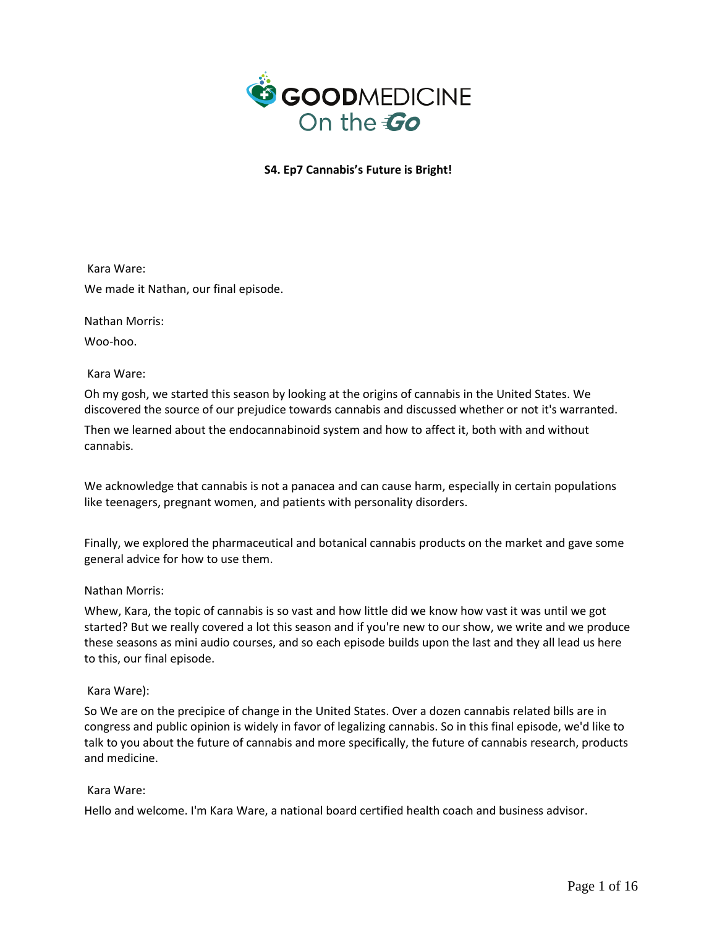

Kara Ware: We made it Nathan, our final episode.

Nathan Morris:

Woo-hoo.

Kara Ware:

Oh my gosh, we started this season by looking at the origins of cannabis in the United States. We discovered the source of our prejudice towards cannabis and discussed whether or not it's warranted.

Then we learned about the endocannabinoid system and how to affect it, both with and without cannabis.

We acknowledge that cannabis is not a panacea and can cause harm, especially in certain populations like teenagers, pregnant women, and patients with personality disorders.

Finally, we explored the pharmaceutical and botanical cannabis products on the market and gave some general advice for how to use them.

### Nathan Morris:

Whew, Kara, the topic of cannabis is so vast and how little did we know how vast it was until we got started? But we really covered a lot this season and if you're new to our show, we write and we produce these seasons as mini audio courses, and so each episode builds upon the last and they all lead us here to this, our final episode.

### Kara Ware):

So We are on the precipice of change in the United States. Over a dozen cannabis related bills are in congress and public opinion is widely in favor of legalizing cannabis. So in this final episode, we'd like to talk to you about the future of cannabis and more specifically, the future of cannabis research, products and medicine.

### Kara Ware:

Hello and welcome. I'm Kara Ware, a national board certified health coach and business advisor.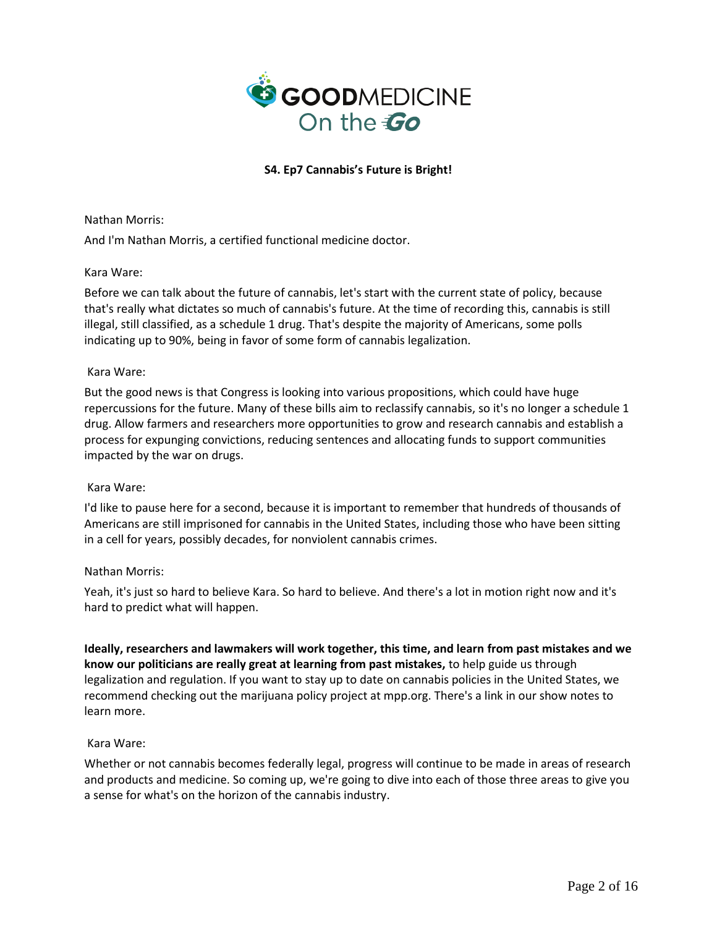

Nathan Morris:

And I'm Nathan Morris, a certified functional medicine doctor.

## Kara Ware:

Before we can talk about the future of cannabis, let's start with the current state of policy, because that's really what dictates so much of cannabis's future. At the time of recording this, cannabis is still illegal, still classified, as a schedule 1 drug. That's despite the majority of Americans, some polls indicating up to 90%, being in favor of some form of cannabis legalization.

## Kara Ware:

But the good news is that Congress is looking into various propositions, which could have huge repercussions for the future. Many of these bills aim to reclassify cannabis, so it's no longer a schedule 1 drug. Allow farmers and researchers more opportunities to grow and research cannabis and establish a process for expunging convictions, reducing sentences and allocating funds to support communities impacted by the war on drugs.

### Kara Ware:

I'd like to pause here for a second, because it is important to remember that hundreds of thousands of Americans are still imprisoned for cannabis in the United States, including those who have been sitting in a cell for years, possibly decades, for nonviolent cannabis crimes.

## Nathan Morris:

Yeah, it's just so hard to believe Kara. So hard to believe. And there's a lot in motion right now and it's hard to predict what will happen.

**Ideally, researchers and lawmakers will work together, this time, and learn from past mistakes and we know our politicians are really great at learning from past mistakes,** to help guide us through legalization and regulation. If you want to stay up to date on cannabis policies in the United States, we recommend checking out the marijuana policy project at mpp.org. There's a link in our show notes to learn more.

## Kara Ware:

Whether or not cannabis becomes federally legal, progress will continue to be made in areas of research and products and medicine. So coming up, we're going to dive into each of those three areas to give you a sense for what's on the horizon of the cannabis industry.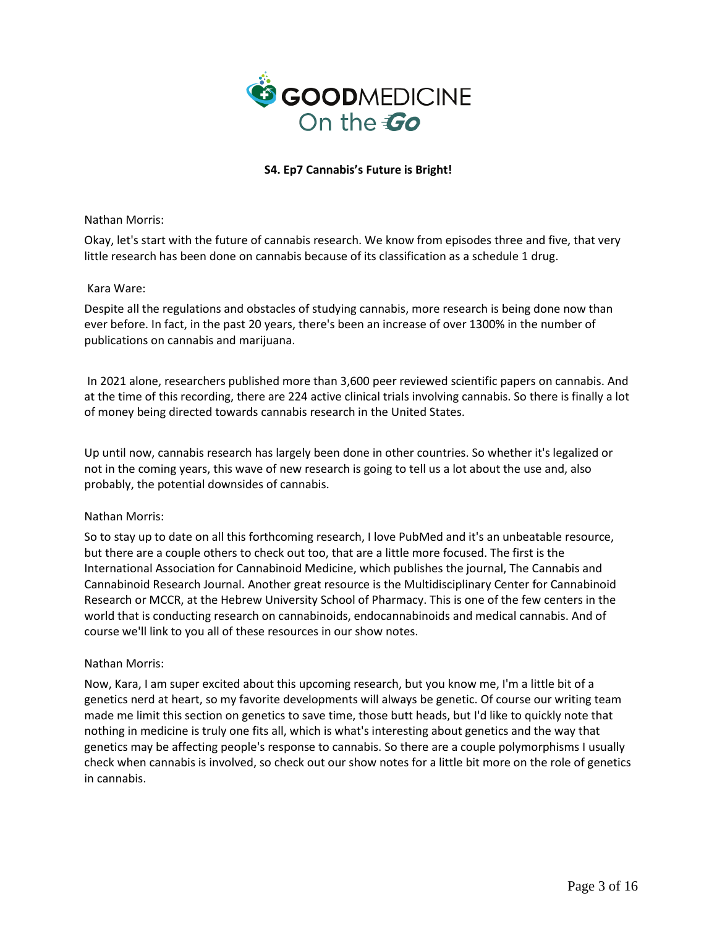

Nathan Morris:

Okay, let's start with the future of cannabis research. We know from episodes three and five, that very little research has been done on cannabis because of its classification as a schedule 1 drug.

## Kara Ware:

Despite all the regulations and obstacles of studying cannabis, more research is being done now than ever before. In fact, in the past 20 years, there's been an increase of over 1300% in the number of publications on cannabis and marijuana.

In 2021 alone, researchers published more than 3,600 peer reviewed scientific papers on cannabis. And at the time of this recording, there are 224 active clinical trials involving cannabis. So there is finally a lot of money being directed towards cannabis research in the United States.

Up until now, cannabis research has largely been done in other countries. So whether it's legalized or not in the coming years, this wave of new research is going to tell us a lot about the use and, also probably, the potential downsides of cannabis.

### Nathan Morris:

So to stay up to date on all this forthcoming research, I love PubMed and it's an unbeatable resource, but there are a couple others to check out too, that are a little more focused. The first is the International Association for Cannabinoid Medicine, which publishes the journal, The Cannabis and Cannabinoid Research Journal. Another great resource is the Multidisciplinary Center for Cannabinoid Research or MCCR, at the Hebrew University School of Pharmacy. This is one of the few centers in the world that is conducting research on cannabinoids, endocannabinoids and medical cannabis. And of course we'll link to you all of these resources in our show notes.

## Nathan Morris:

Now, Kara, I am super excited about this upcoming research, but you know me, I'm a little bit of a genetics nerd at heart, so my favorite developments will always be genetic. Of course our writing team made me limit this section on genetics to save time, those butt heads, but I'd like to quickly note that nothing in medicine is truly one fits all, which is what's interesting about genetics and the way that genetics may be affecting people's response to cannabis. So there are a couple polymorphisms I usually check when cannabis is involved, so check out our show notes for a little bit more on the role of genetics in cannabis.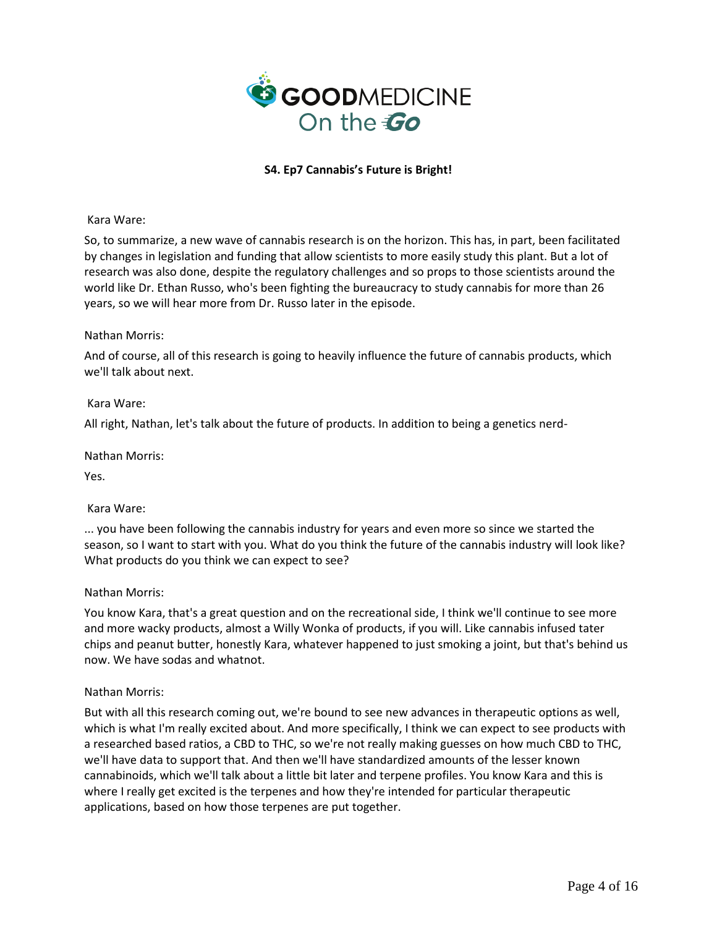

Kara Ware:

So, to summarize, a new wave of cannabis research is on the horizon. This has, in part, been facilitated by changes in legislation and funding that allow scientists to more easily study this plant. But a lot of research was also done, despite the regulatory challenges and so props to those scientists around the world like Dr. Ethan Russo, who's been fighting the bureaucracy to study cannabis for more than 26 years, so we will hear more from Dr. Russo later in the episode.

## Nathan Morris:

And of course, all of this research is going to heavily influence the future of cannabis products, which we'll talk about next.

## Kara Ware:

All right, Nathan, let's talk about the future of products. In addition to being a genetics nerd-

Nathan Morris:

Yes.

## Kara Ware:

... you have been following the cannabis industry for years and even more so since we started the season, so I want to start with you. What do you think the future of the cannabis industry will look like? What products do you think we can expect to see?

### Nathan Morris:

You know Kara, that's a great question and on the recreational side, I think we'll continue to see more and more wacky products, almost a Willy Wonka of products, if you will. Like cannabis infused tater chips and peanut butter, honestly Kara, whatever happened to just smoking a joint, but that's behind us now. We have sodas and whatnot.

### Nathan Morris:

But with all this research coming out, we're bound to see new advances in therapeutic options as well, which is what I'm really excited about. And more specifically, I think we can expect to see products with a researched based ratios, a CBD to THC, so we're not really making guesses on how much CBD to THC, we'll have data to support that. And then we'll have standardized amounts of the lesser known cannabinoids, which we'll talk about a little bit later and terpene profiles. You know Kara and this is where I really get excited is the terpenes and how they're intended for particular therapeutic applications, based on how those terpenes are put together.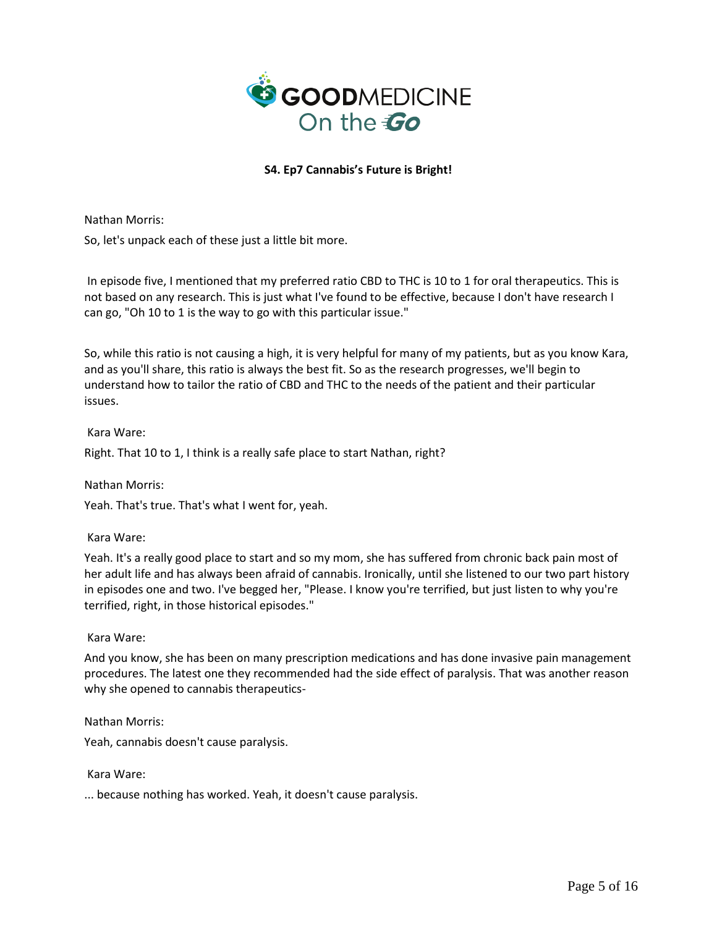

Nathan Morris:

So, let's unpack each of these just a little bit more.

In episode five, I mentioned that my preferred ratio CBD to THC is 10 to 1 for oral therapeutics. This is not based on any research. This is just what I've found to be effective, because I don't have research I can go, "Oh 10 to 1 is the way to go with this particular issue."

So, while this ratio is not causing a high, it is very helpful for many of my patients, but as you know Kara, and as you'll share, this ratio is always the best fit. So as the research progresses, we'll begin to understand how to tailor the ratio of CBD and THC to the needs of the patient and their particular issues.

## Kara Ware:

Right. That 10 to 1, I think is a really safe place to start Nathan, right?

Nathan Morris:

Yeah. That's true. That's what I went for, yeah.

### Kara Ware:

Yeah. It's a really good place to start and so my mom, she has suffered from chronic back pain most of her adult life and has always been afraid of cannabis. Ironically, until she listened to our two part history in episodes one and two. I've begged her, "Please. I know you're terrified, but just listen to why you're terrified, right, in those historical episodes."

### Kara Ware:

And you know, she has been on many prescription medications and has done invasive pain management procedures. The latest one they recommended had the side effect of paralysis. That was another reason why she opened to cannabis therapeutics-

Nathan Morris:

Yeah, cannabis doesn't cause paralysis.

Kara Ware:

... because nothing has worked. Yeah, it doesn't cause paralysis.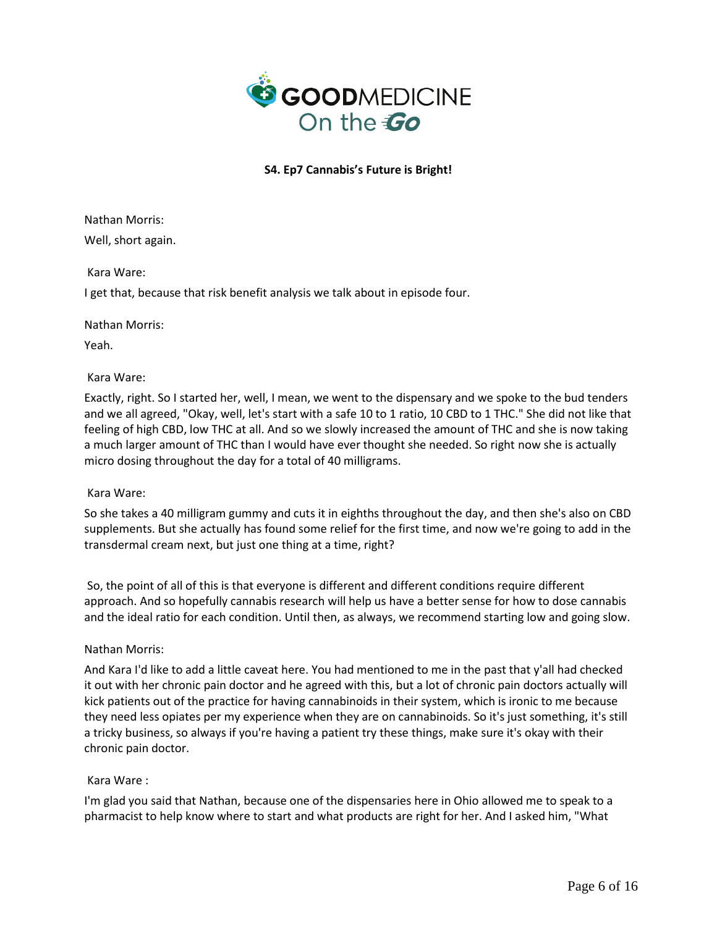

Nathan Morris: Well, short again.

Kara Ware:

I get that, because that risk benefit analysis we talk about in episode four.

Nathan Morris:

Yeah.

# Kara Ware:

Exactly, right. So I started her, well, I mean, we went to the dispensary and we spoke to the bud tenders and we all agreed, "Okay, well, let's start with a safe 10 to 1 ratio, 10 CBD to 1 THC." She did not like that feeling of high CBD, low THC at all. And so we slowly increased the amount of THC and she is now taking a much larger amount of THC than I would have ever thought she needed. So right now she is actually micro dosing throughout the day for a total of 40 milligrams.

## Kara Ware:

So she takes a 40 milligram gummy and cuts it in eighths throughout the day, and then she's also on CBD supplements. But she actually has found some relief for the first time, and now we're going to add in the transdermal cream next, but just one thing at a time, right?

So, the point of all of this is that everyone is different and different conditions require different approach. And so hopefully cannabis research will help us have a better sense for how to dose cannabis and the ideal ratio for each condition. Until then, as always, we recommend starting low and going slow.

## Nathan Morris:

And Kara I'd like to add a little caveat here. You had mentioned to me in the past that y'all had checked it out with her chronic pain doctor and he agreed with this, but a lot of chronic pain doctors actually will kick patients out of the practice for having cannabinoids in their system, which is ironic to me because they need less opiates per my experience when they are on cannabinoids. So it's just something, it's still a tricky business, so always if you're having a patient try these things, make sure it's okay with their chronic pain doctor.

## Kara Ware :

I'm glad you said that Nathan, because one of the dispensaries here in Ohio allowed me to speak to a pharmacist to help know where to start and what products are right for her. And I asked him, "What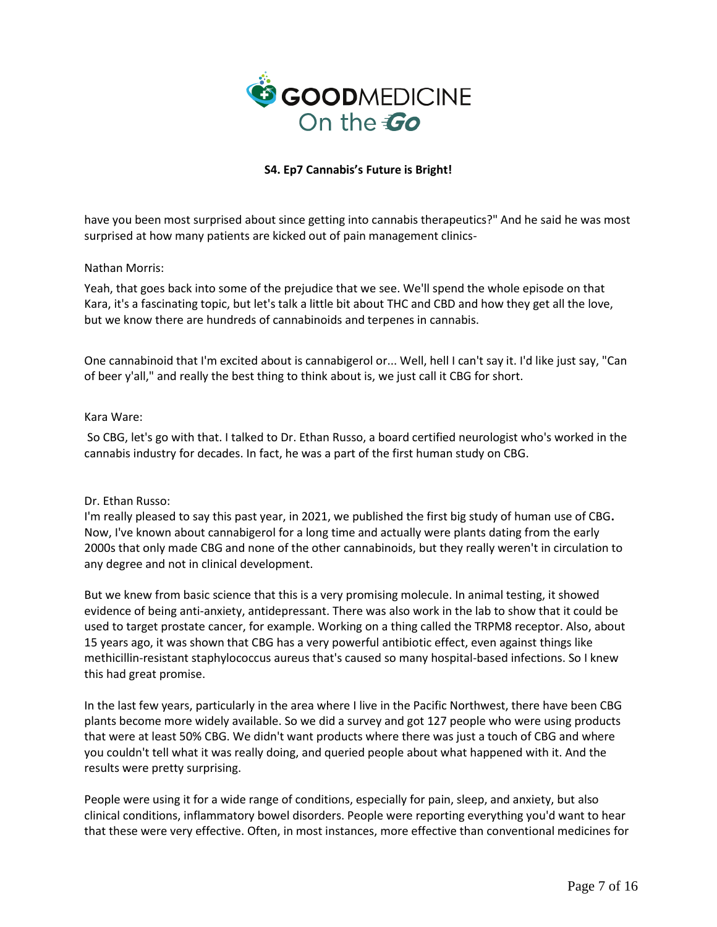

have you been most surprised about since getting into cannabis therapeutics?" And he said he was most surprised at how many patients are kicked out of pain management clinics-

## Nathan Morris:

Yeah, that goes back into some of the prejudice that we see. We'll spend the whole episode on that Kara, it's a fascinating topic, but let's talk a little bit about THC and CBD and how they get all the love, but we know there are hundreds of cannabinoids and terpenes in cannabis.

One cannabinoid that I'm excited about is cannabigerol or... Well, hell I can't say it. I'd like just say, "Can of beer y'all," and really the best thing to think about is, we just call it CBG for short.

## Kara Ware:

So CBG, let's go with that. I talked to Dr. Ethan Russo, a board certified neurologist who's worked in the cannabis industry for decades. In fact, he was a part of the first human study on CBG.

### Dr. Ethan Russo:

I'm really pleased to say this past year, in 2021, we published the first big study of human use of CBG**.** Now, I've known about cannabigerol for a long time and actually were plants dating from the early 2000s that only made CBG and none of the other cannabinoids, but they really weren't in circulation to any degree and not in clinical development.

But we knew from basic science that this is a very promising molecule. In animal testing, it showed evidence of being anti-anxiety, antidepressant. There was also work in the lab to show that it could be used to target prostate cancer, for example. Working on a thing called the TRPM8 receptor. Also, about 15 years ago, it was shown that CBG has a very powerful antibiotic effect, even against things like methicillin-resistant staphylococcus aureus that's caused so many hospital-based infections. So I knew this had great promise.

In the last few years, particularly in the area where I live in the Pacific Northwest, there have been CBG plants become more widely available. So we did a survey and got 127 people who were using products that were at least 50% CBG. We didn't want products where there was just a touch of CBG and where you couldn't tell what it was really doing, and queried people about what happened with it. And the results were pretty surprising.

People were using it for a wide range of conditions, especially for pain, sleep, and anxiety, but also clinical conditions, inflammatory bowel disorders. People were reporting everything you'd want to hear that these were very effective. Often, in most instances, more effective than conventional medicines for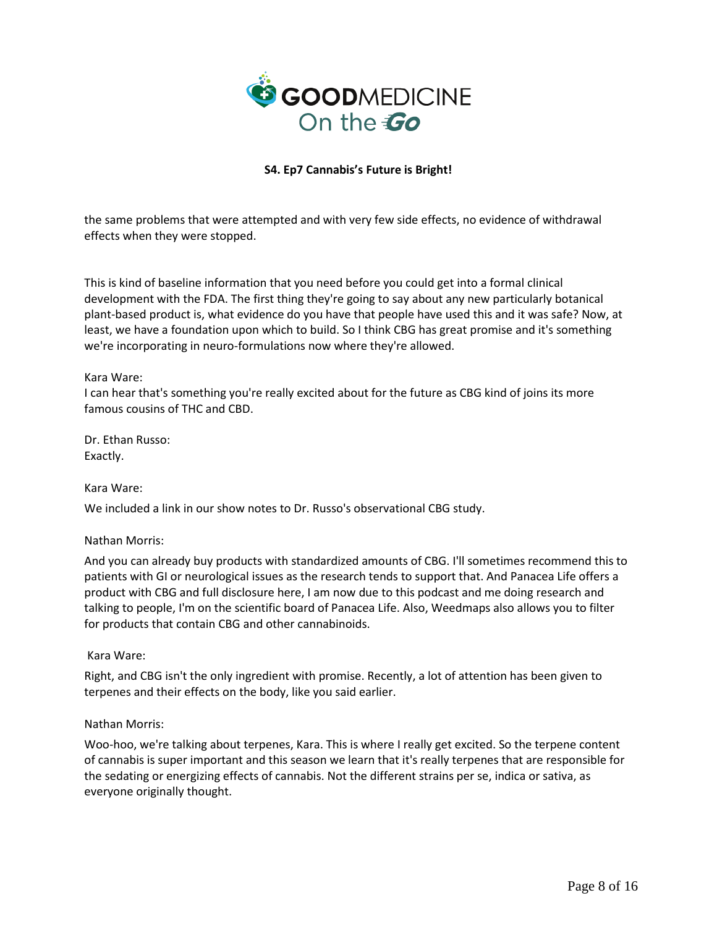

the same problems that were attempted and with very few side effects, no evidence of withdrawal effects when they were stopped.

This is kind of baseline information that you need before you could get into a formal clinical development with the FDA. The first thing they're going to say about any new particularly botanical plant-based product is, what evidence do you have that people have used this and it was safe? Now, at least, we have a foundation upon which to build. So I think CBG has great promise and it's something we're incorporating in neuro-formulations now where they're allowed.

### Kara Ware:

I can hear that's something you're really excited about for the future as CBG kind of joins its more famous cousins of THC and CBD.

Dr. Ethan Russo: Exactly.

### Kara Ware:

We included a link in our show notes to Dr. Russo's observational CBG study.

### Nathan Morris:

And you can already buy products with standardized amounts of CBG. I'll sometimes recommend this to patients with GI or neurological issues as the research tends to support that. And Panacea Life offers a product with CBG and full disclosure here, I am now due to this podcast and me doing research and talking to people, I'm on the scientific board of Panacea Life. Also, Weedmaps also allows you to filter for products that contain CBG and other cannabinoids.

### Kara Ware:

Right, and CBG isn't the only ingredient with promise. Recently, a lot of attention has been given to terpenes and their effects on the body, like you said earlier.

### Nathan Morris:

Woo-hoo, we're talking about terpenes, Kara. This is where I really get excited. So the terpene content of cannabis is super important and this season we learn that it's really terpenes that are responsible for the sedating or energizing effects of cannabis. Not the different strains per se, indica or sativa, as everyone originally thought.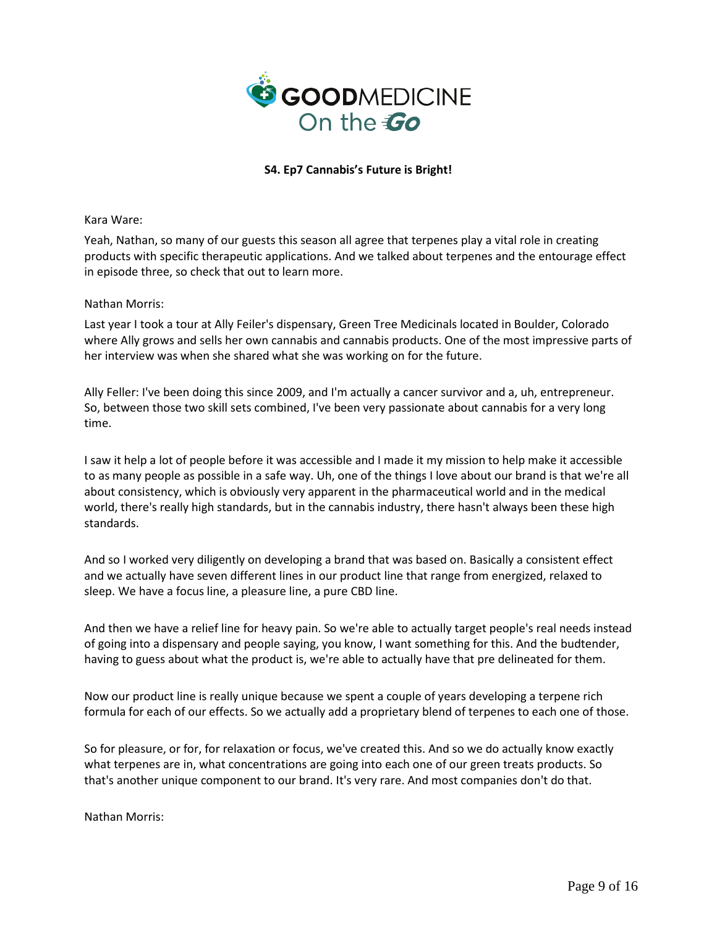

Kara Ware:

Yeah, Nathan, so many of our guests this season all agree that terpenes play a vital role in creating products with specific therapeutic applications. And we talked about terpenes and the entourage effect in episode three, so check that out to learn more.

## Nathan Morris:

Last year I took a tour at Ally Feiler's dispensary, Green Tree Medicinals located in Boulder, Colorado where Ally grows and sells her own cannabis and cannabis products. One of the most impressive parts of her interview was when she shared what she was working on for the future.

Ally Feller: I've been doing this since 2009, and I'm actually a cancer survivor and a, uh, entrepreneur. So, between those two skill sets combined, I've been very passionate about cannabis for a very long time.

I saw it help a lot of people before it was accessible and I made it my mission to help make it accessible to as many people as possible in a safe way. Uh, one of the things I love about our brand is that we're all about consistency, which is obviously very apparent in the pharmaceutical world and in the medical world, there's really high standards, but in the cannabis industry, there hasn't always been these high standards.

And so I worked very diligently on developing a brand that was based on. Basically a consistent effect and we actually have seven different lines in our product line that range from energized, relaxed to sleep. We have a focus line, a pleasure line, a pure CBD line.

And then we have a relief line for heavy pain. So we're able to actually target people's real needs instead of going into a dispensary and people saying, you know, I want something for this. And the budtender, having to guess about what the product is, we're able to actually have that pre delineated for them.

Now our product line is really unique because we spent a couple of years developing a terpene rich formula for each of our effects. So we actually add a proprietary blend of terpenes to each one of those.

So for pleasure, or for, for relaxation or focus, we've created this. And so we do actually know exactly what terpenes are in, what concentrations are going into each one of our green treats products. So that's another unique component to our brand. It's very rare. And most companies don't do that.

Nathan Morris: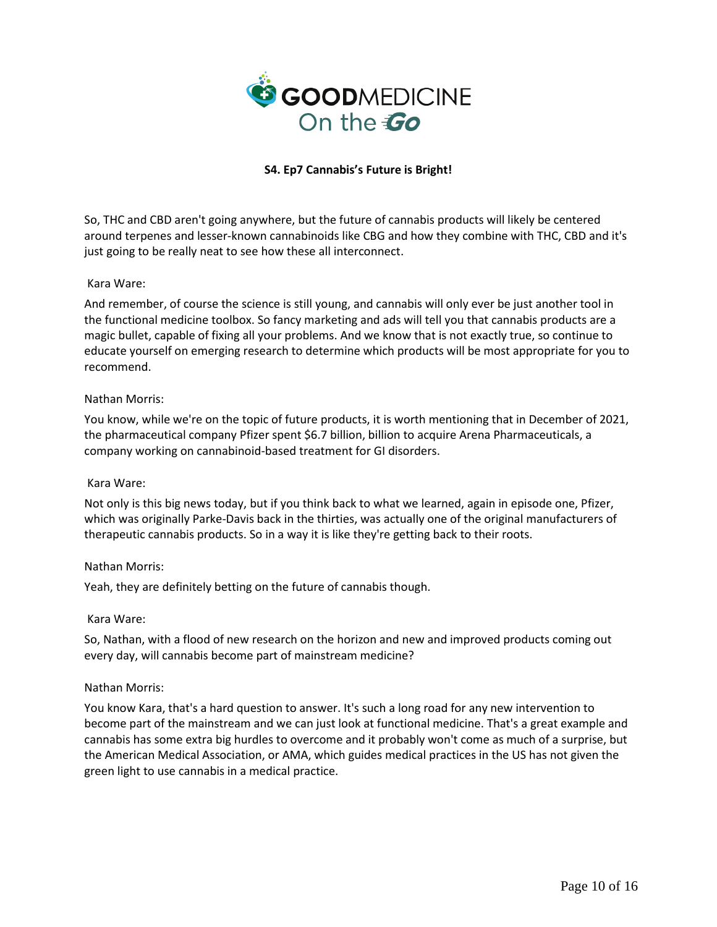

So, THC and CBD aren't going anywhere, but the future of cannabis products will likely be centered around terpenes and lesser-known cannabinoids like CBG and how they combine with THC, CBD and it's just going to be really neat to see how these all interconnect.

## Kara Ware:

And remember, of course the science is still young, and cannabis will only ever be just another tool in the functional medicine toolbox. So fancy marketing and ads will tell you that cannabis products are a magic bullet, capable of fixing all your problems. And we know that is not exactly true, so continue to educate yourself on emerging research to determine which products will be most appropriate for you to recommend.

## Nathan Morris:

You know, while we're on the topic of future products, it is worth mentioning that in December of 2021, the pharmaceutical company Pfizer spent \$6.7 billion, billion to acquire Arena Pharmaceuticals, a company working on cannabinoid-based treatment for GI disorders.

### Kara Ware:

Not only is this big news today, but if you think back to what we learned, again in episode one, Pfizer, which was originally Parke-Davis back in the thirties, was actually one of the original manufacturers of therapeutic cannabis products. So in a way it is like they're getting back to their roots.

### Nathan Morris:

Yeah, they are definitely betting on the future of cannabis though.

### Kara Ware:

So, Nathan, with a flood of new research on the horizon and new and improved products coming out every day, will cannabis become part of mainstream medicine?

### Nathan Morris:

You know Kara, that's a hard question to answer. It's such a long road for any new intervention to become part of the mainstream and we can just look at functional medicine. That's a great example and cannabis has some extra big hurdles to overcome and it probably won't come as much of a surprise, but the American Medical Association, or AMA, which guides medical practices in the US has not given the green light to use cannabis in a medical practice.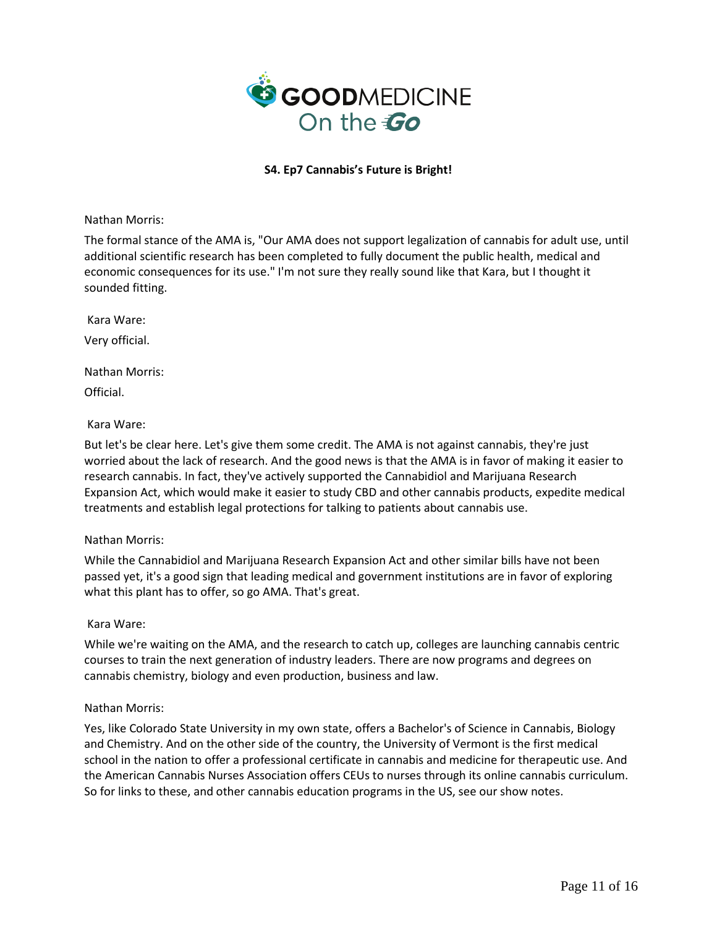

Nathan Morris:

The formal stance of the AMA is, "Our AMA does not support legalization of cannabis for adult use, until additional scientific research has been completed to fully document the public health, medical and economic consequences for its use." I'm not sure they really sound like that Kara, but I thought it sounded fitting.

Kara Ware: Very official.

Nathan Morris: Official.

Kara Ware:

But let's be clear here. Let's give them some credit. The AMA is not against cannabis, they're just worried about the lack of research. And the good news is that the AMA is in favor of making it easier to research cannabis. In fact, they've actively supported the Cannabidiol and Marijuana Research Expansion Act, which would make it easier to study CBD and other cannabis products, expedite medical treatments and establish legal protections for talking to patients about cannabis use.

## Nathan Morris:

While the Cannabidiol and Marijuana Research Expansion Act and other similar bills have not been passed yet, it's a good sign that leading medical and government institutions are in favor of exploring what this plant has to offer, so go AMA. That's great.

## Kara Ware:

While we're waiting on the AMA, and the research to catch up, colleges are launching cannabis centric courses to train the next generation of industry leaders. There are now programs and degrees on cannabis chemistry, biology and even production, business and law.

### Nathan Morris:

Yes, like Colorado State University in my own state, offers a Bachelor's of Science in Cannabis, Biology and Chemistry. And on the other side of the country, the University of Vermont is the first medical school in the nation to offer a professional certificate in cannabis and medicine for therapeutic use. And the American Cannabis Nurses Association offers CEUs to nurses through its online cannabis curriculum. So for links to these, and other cannabis education programs in the US, see our show notes.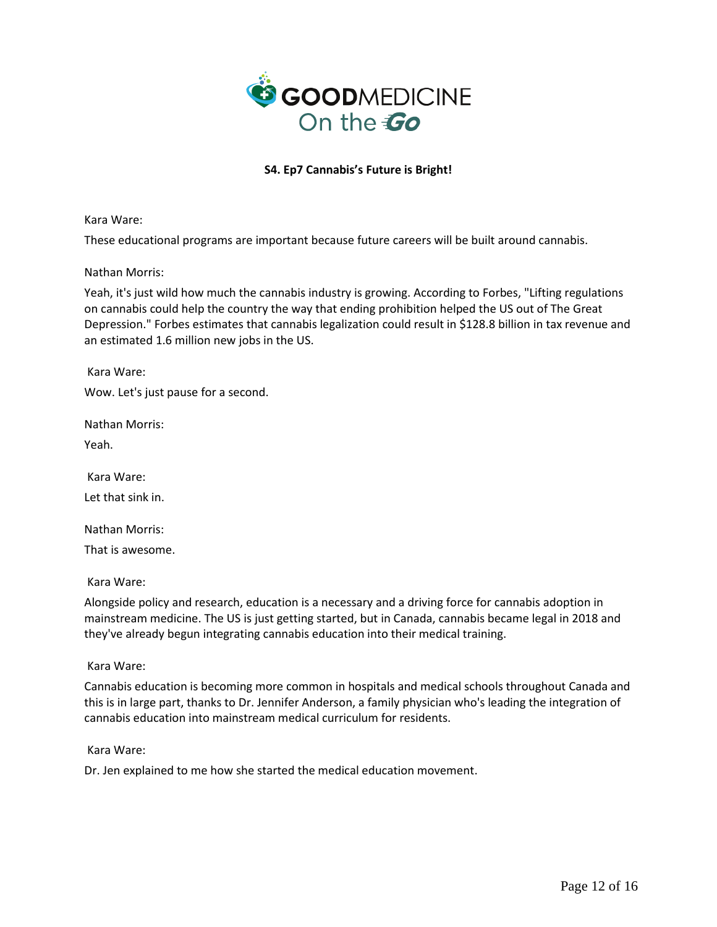

Kara Ware:

These educational programs are important because future careers will be built around cannabis.

Nathan Morris:

Yeah, it's just wild how much the cannabis industry is growing. According to Forbes, "Lifting regulations on cannabis could help the country the way that ending prohibition helped the US out of The Great Depression." Forbes estimates that cannabis legalization could result in \$128.8 billion in tax revenue and an estimated 1.6 million new jobs in the US.

Kara Ware:

Wow. Let's just pause for a second.

Nathan Morris:

Yeah.

Kara Ware: Let that sink in.

Nathan Morris:

That is awesome.

Kara Ware:

Alongside policy and research, education is a necessary and a driving force for cannabis adoption in mainstream medicine. The US is just getting started, but in Canada, cannabis became legal in 2018 and they've already begun integrating cannabis education into their medical training.

Kara Ware:

Cannabis education is becoming more common in hospitals and medical schools throughout Canada and this is in large part, thanks to Dr. Jennifer Anderson, a family physician who's leading the integration of cannabis education into mainstream medical curriculum for residents.

Kara Ware:

Dr. Jen explained to me how she started the medical education movement.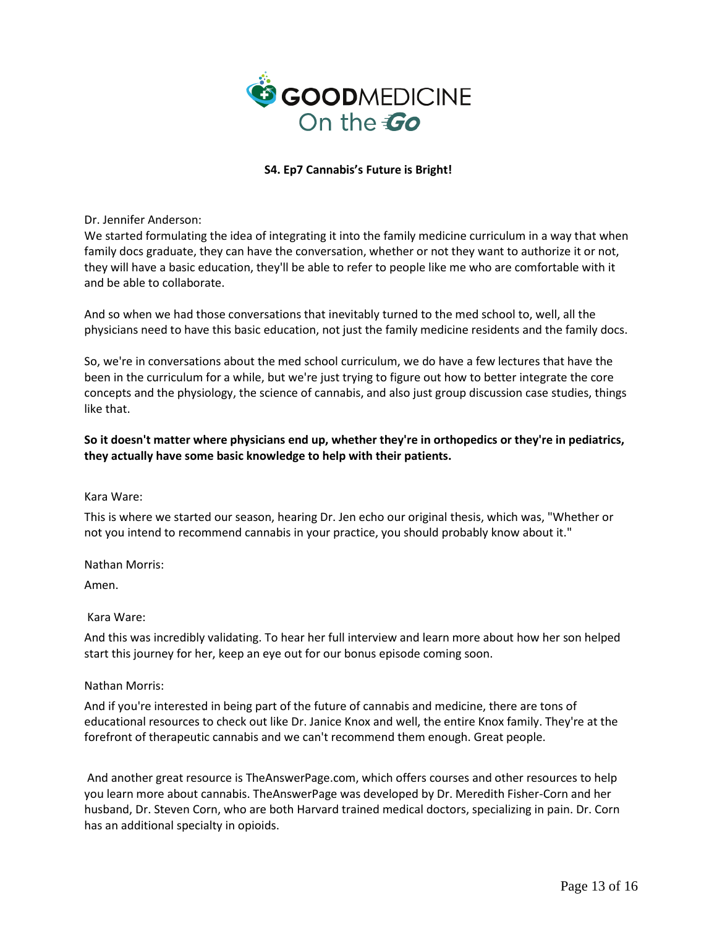

Dr. Jennifer Anderson:

We started formulating the idea of integrating it into the family medicine curriculum in a way that when family docs graduate, they can have the conversation, whether or not they want to authorize it or not, they will have a basic education, they'll be able to refer to people like me who are comfortable with it and be able to collaborate.

And so when we had those conversations that inevitably turned to the med school to, well, all the physicians need to have this basic education, not just the family medicine residents and the family docs.

So, we're in conversations about the med school curriculum, we do have a few lectures that have the been in the curriculum for a while, but we're just trying to figure out how to better integrate the core concepts and the physiology, the science of cannabis, and also just group discussion case studies, things like that.

# **So it doesn't matter where physicians end up, whether they're in orthopedics or they're in pediatrics, they actually have some basic knowledge to help with their patients.**

### Kara Ware:

This is where we started our season, hearing Dr. Jen echo our original thesis, which was, "Whether or not you intend to recommend cannabis in your practice, you should probably know about it."

Nathan Morris:

Amen.

### Kara Ware:

And this was incredibly validating. To hear her full interview and learn more about how her son helped start this journey for her, keep an eye out for our bonus episode coming soon.

## Nathan Morris:

And if you're interested in being part of the future of cannabis and medicine, there are tons of educational resources to check out like Dr. Janice Knox and well, the entire Knox family. They're at the forefront of therapeutic cannabis and we can't recommend them enough. Great people.

And another great resource is TheAnswerPage.com, which offers courses and other resources to help you learn more about cannabis. TheAnswerPage was developed by Dr. Meredith Fisher-Corn and her husband, Dr. Steven Corn, who are both Harvard trained medical doctors, specializing in pain. Dr. Corn has an additional specialty in opioids.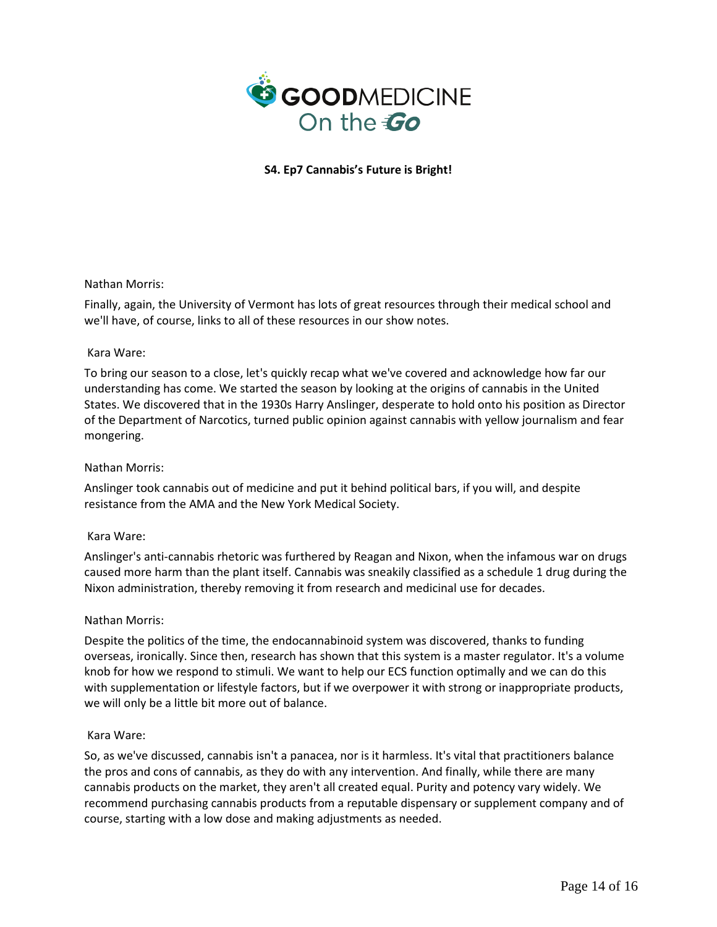

## Nathan Morris:

Finally, again, the University of Vermont has lots of great resources through their medical school and we'll have, of course, links to all of these resources in our show notes.

## Kara Ware:

To bring our season to a close, let's quickly recap what we've covered and acknowledge how far our understanding has come. We started the season by looking at the origins of cannabis in the United States. We discovered that in the 1930s Harry Anslinger, desperate to hold onto his position as Director of the Department of Narcotics, turned public opinion against cannabis with yellow journalism and fear mongering.

### Nathan Morris:

Anslinger took cannabis out of medicine and put it behind political bars, if you will, and despite resistance from the AMA and the New York Medical Society.

### Kara Ware:

Anslinger's anti-cannabis rhetoric was furthered by Reagan and Nixon, when the infamous war on drugs caused more harm than the plant itself. Cannabis was sneakily classified as a schedule 1 drug during the Nixon administration, thereby removing it from research and medicinal use for decades.

### Nathan Morris:

Despite the politics of the time, the endocannabinoid system was discovered, thanks to funding overseas, ironically. Since then, research has shown that this system is a master regulator. It's a volume knob for how we respond to stimuli. We want to help our ECS function optimally and we can do this with supplementation or lifestyle factors, but if we overpower it with strong or inappropriate products, we will only be a little bit more out of balance.

### Kara Ware:

So, as we've discussed, cannabis isn't a panacea, nor is it harmless. It's vital that practitioners balance the pros and cons of cannabis, as they do with any intervention. And finally, while there are many cannabis products on the market, they aren't all created equal. Purity and potency vary widely. We recommend purchasing cannabis products from a reputable dispensary or supplement company and of course, starting with a low dose and making adjustments as needed.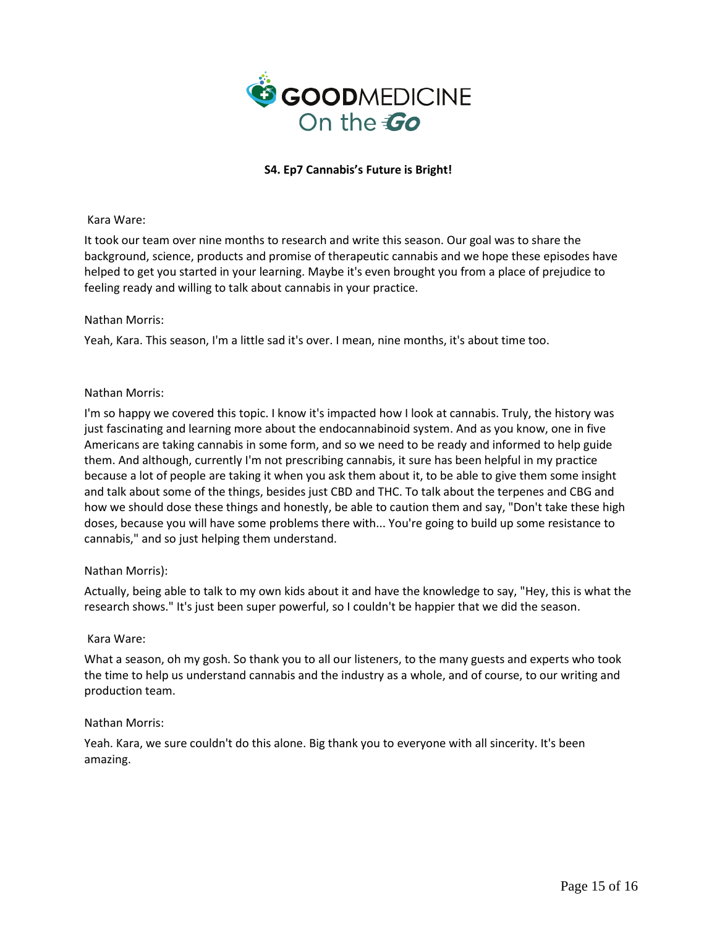

## Kara Ware:

It took our team over nine months to research and write this season. Our goal was to share the background, science, products and promise of therapeutic cannabis and we hope these episodes have helped to get you started in your learning. Maybe it's even brought you from a place of prejudice to feeling ready and willing to talk about cannabis in your practice.

## Nathan Morris:

Yeah, Kara. This season, I'm a little sad it's over. I mean, nine months, it's about time too.

## Nathan Morris:

I'm so happy we covered this topic. I know it's impacted how I look at cannabis. Truly, the history was just fascinating and learning more about the endocannabinoid system. And as you know, one in five Americans are taking cannabis in some form, and so we need to be ready and informed to help guide them. And although, currently I'm not prescribing cannabis, it sure has been helpful in my practice because a lot of people are taking it when you ask them about it, to be able to give them some insight and talk about some of the things, besides just CBD and THC. To talk about the terpenes and CBG and how we should dose these things and honestly, be able to caution them and say, "Don't take these high doses, because you will have some problems there with... You're going to build up some resistance to cannabis," and so just helping them understand.

## Nathan Morris):

Actually, being able to talk to my own kids about it and have the knowledge to say, "Hey, this is what the research shows." It's just been super powerful, so I couldn't be happier that we did the season.

### Kara Ware:

What a season, oh my gosh. So thank you to all our listeners, to the many guests and experts who took the time to help us understand cannabis and the industry as a whole, and of course, to our writing and production team.

## Nathan Morris:

Yeah. Kara, we sure couldn't do this alone. Big thank you to everyone with all sincerity. It's been amazing.